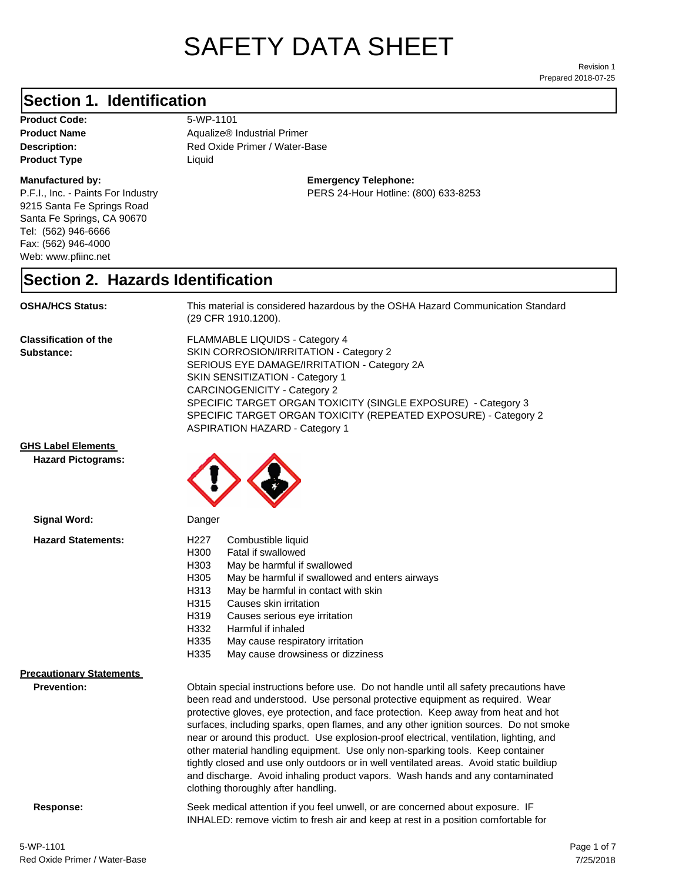# SAFETY DATA SHEET

Prepared 2018-07-25 Revision 1

## **Section 1. Identification**

**Product Code:** 5-WP-1101 **Product Type Liquid Liquid** 

#### **Manufactured by:**

P.F.I., Inc. - Paints For Industry 9215 Santa Fe Springs Road Santa Fe Springs, CA 90670 Tel: (562) 946-6666 Fax: (562) 946-4000 Web: www.pfiinc.net

**Product Name Aqualize® Industrial Primer** 

**Description:** Red Oxide Primer / Water-Base

**Emergency Telephone:**

PERS 24-Hour Hotline: (800) 633-8253

#### **Section 2. Hazards Identification**

#### **OSHA/HCS Status:** This material is considered hazardous by the OSHA Hazard Communication Standard

(29 CFR 1910.1200).

**Classification of the Substance:**

FLAMMABLE LIQUIDS - Category 4 SKIN CORROSION/IRRITATION - Category 2 SERIOUS EYE DAMAGE/IRRITATION - Category 2A SKIN SENSITIZATION - Category 1 CARCINOGENICITY - Category 2 SPECIFIC TARGET ORGAN TOXICITY (SINGLE EXPOSURE) - Category 3 SPECIFIC TARGET ORGAN TOXICITY (REPEATED EXPOSURE) - Category 2 ASPIRATION HAZARD - Category 1

INHALED: remove victim to fresh air and keep at rest in a position comfortable for

**GHS Label Elements**

**Hazard Pictograms:**



| Signal Word:                                          | Danger                                                                                                                                                                                                                                                                                                                                                                                                                                                                                                                                                                                                                                                                                                            |  |
|-------------------------------------------------------|-------------------------------------------------------------------------------------------------------------------------------------------------------------------------------------------------------------------------------------------------------------------------------------------------------------------------------------------------------------------------------------------------------------------------------------------------------------------------------------------------------------------------------------------------------------------------------------------------------------------------------------------------------------------------------------------------------------------|--|
| <b>Hazard Statements:</b>                             | Combustible liquid<br>H227<br>H300<br>Fatal if swallowed<br>H <sub>303</sub><br>May be harmful if swallowed<br>H305<br>May be harmful if swallowed and enters airways<br>May be harmful in contact with skin<br>H313<br>H315<br>Causes skin irritation<br>H319<br>Causes serious eye irritation<br>H332<br>Harmful if inhaled<br>H335<br>May cause respiratory irritation<br>H335<br>May cause drowsiness or dizziness                                                                                                                                                                                                                                                                                            |  |
| <b>Precautionary Statements</b><br><b>Prevention:</b> | Obtain special instructions before use. Do not handle until all safety precautions have<br>been read and understood. Use personal protective equipment as required. Wear<br>protective gloves, eye protection, and face protection. Keep away from heat and hot<br>surfaces, including sparks, open flames, and any other ignition sources. Do not smoke<br>near or around this product. Use explosion-proof electrical, ventilation, lighting, and<br>other material handling equipment. Use only non-sparking tools. Keep container<br>tightly closed and use only outdoors or in well ventilated areas. Avoid static buildiup<br>and discharge. Avoid inhaling product vapors. Wash hands and any contaminated |  |

clothing thoroughly after handling.

**Response:** Seek medical attention if you feel unwell, or are concerned about exposure. IF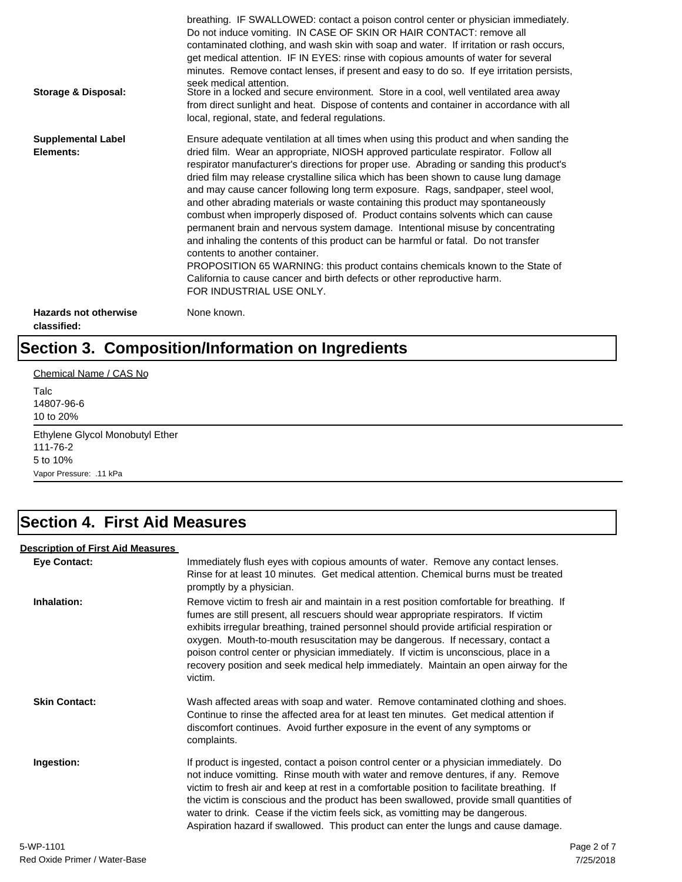| Storage & Disposal:                         | breathing. IF SWALLOWED: contact a poison control center or physician immediately.<br>Do not induce vomiting. IN CASE OF SKIN OR HAIR CONTACT: remove all<br>contaminated clothing, and wash skin with soap and water. If irritation or rash occurs,<br>get medical attention. IF IN EYES: rinse with copious amounts of water for several<br>minutes. Remove contact lenses, if present and easy to do so. If eye irritation persists,<br>seek medical attention.<br>Store in a locked and secure environment. Store in a cool, well ventilated area away<br>from direct sunlight and heat. Dispose of contents and container in accordance with all<br>local, regional, state, and federal regulations.                                                                                                                                                                                                                                                                                                                |
|---------------------------------------------|--------------------------------------------------------------------------------------------------------------------------------------------------------------------------------------------------------------------------------------------------------------------------------------------------------------------------------------------------------------------------------------------------------------------------------------------------------------------------------------------------------------------------------------------------------------------------------------------------------------------------------------------------------------------------------------------------------------------------------------------------------------------------------------------------------------------------------------------------------------------------------------------------------------------------------------------------------------------------------------------------------------------------|
| <b>Supplemental Label</b><br>Elements:      | Ensure adequate ventilation at all times when using this product and when sanding the<br>dried film. Wear an appropriate, NIOSH approved particulate respirator. Follow all<br>respirator manufacturer's directions for proper use. Abrading or sanding this product's<br>dried film may release crystalline silica which has been shown to cause lung damage<br>and may cause cancer following long term exposure. Rags, sandpaper, steel wool,<br>and other abrading materials or waste containing this product may spontaneously<br>combust when improperly disposed of. Product contains solvents which can cause<br>permanent brain and nervous system damage. Intentional misuse by concentrating<br>and inhaling the contents of this product can be harmful or fatal. Do not transfer<br>contents to another container.<br>PROPOSITION 65 WARNING: this product contains chemicals known to the State of<br>California to cause cancer and birth defects or other reproductive harm.<br>FOR INDUSTRIAL USE ONLY. |
| <b>Hazards not otherwise</b><br>classified: | None known.                                                                                                                                                                                                                                                                                                                                                                                                                                                                                                                                                                                                                                                                                                                                                                                                                                                                                                                                                                                                              |

# **Section 3. Composition/Information on Ingredients**

Chemical Name / CAS No

Talc 14807-96-6 10 to 20%

Ethylene Glycol Monobutyl Ether 111-76-2 5 to 10% Vapor Pressure: .11 kPa

## **Section 4. First Aid Measures**

#### **Description of First Aid Measures**

| <b>Eye Contact:</b>  | Immediately flush eyes with copious amounts of water. Remove any contact lenses.<br>Rinse for at least 10 minutes. Get medical attention. Chemical burns must be treated<br>promptly by a physician.                                                                                                                                                                                                                                                                                                                                                      |
|----------------------|-----------------------------------------------------------------------------------------------------------------------------------------------------------------------------------------------------------------------------------------------------------------------------------------------------------------------------------------------------------------------------------------------------------------------------------------------------------------------------------------------------------------------------------------------------------|
| Inhalation:          | Remove victim to fresh air and maintain in a rest position comfortable for breathing. If<br>fumes are still present, all rescuers should wear appropriate respirators. If victim<br>exhibits irregular breathing, trained personnel should provide artificial respiration or<br>oxygen. Mouth-to-mouth resuscitation may be dangerous. If necessary, contact a<br>poison control center or physician immediately. If victim is unconscious, place in a<br>recovery position and seek medical help immediately. Maintain an open airway for the<br>victim. |
| <b>Skin Contact:</b> | Wash affected areas with soap and water. Remove contaminated clothing and shoes.<br>Continue to rinse the affected area for at least ten minutes. Get medical attention if<br>discomfort continues. Avoid further exposure in the event of any symptoms or<br>complaints.                                                                                                                                                                                                                                                                                 |
| Ingestion:           | If product is ingested, contact a poison control center or a physician immediately. Do<br>not induce vomitting. Rinse mouth with water and remove dentures, if any. Remove<br>victim to fresh air and keep at rest in a comfortable position to facilitate breathing. If<br>the victim is conscious and the product has been swallowed, provide small quantities of<br>water to drink. Cease if the victim feels sick, as vomitting may be dangerous.<br>Aspiration hazard if swallowed. This product can enter the lungs and cause damage.               |
| 5-WP-1101            | Page 2 of 7                                                                                                                                                                                                                                                                                                                                                                                                                                                                                                                                               |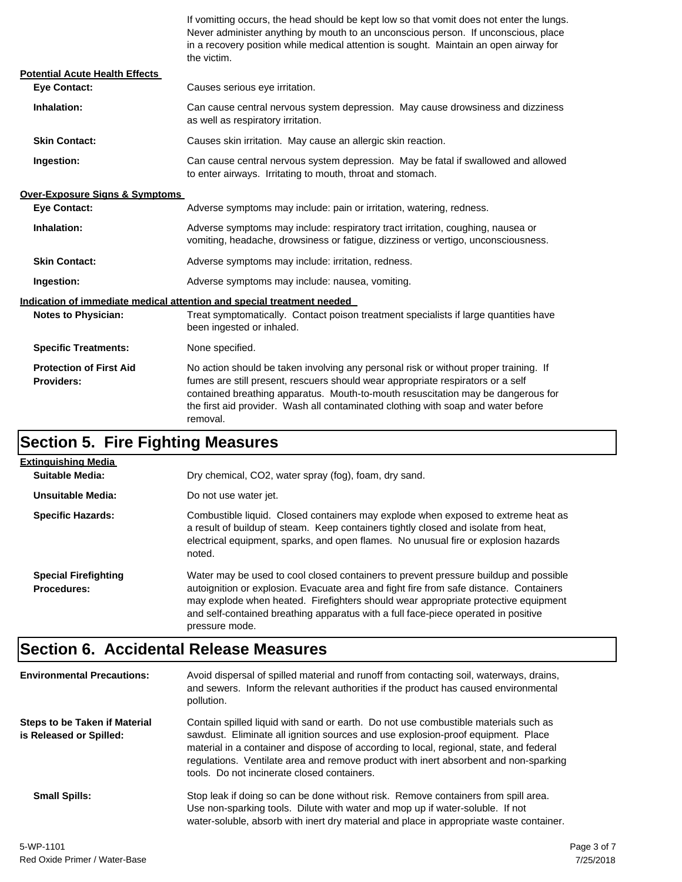If vomitting occurs, the head should be kept low so that vomit does not enter the lungs. Never administer anything by mouth to an unconscious person. If unconscious, place in a recovery position while medical attention is sought. Maintain an open airway for the victim.

| <b>Potential Acute Health Effects</b>               |                                                                                                                                                                                                                                                                                                                                                              |  |
|-----------------------------------------------------|--------------------------------------------------------------------------------------------------------------------------------------------------------------------------------------------------------------------------------------------------------------------------------------------------------------------------------------------------------------|--|
| <b>Eve Contact:</b>                                 | Causes serious eye irritation.                                                                                                                                                                                                                                                                                                                               |  |
| Inhalation:                                         | Can cause central nervous system depression. May cause drowsiness and dizziness<br>as well as respiratory irritation.                                                                                                                                                                                                                                        |  |
| <b>Skin Contact:</b>                                | Causes skin irritation. May cause an allergic skin reaction.                                                                                                                                                                                                                                                                                                 |  |
| Ingestion:                                          | Can cause central nervous system depression. May be fatal if swallowed and allowed<br>to enter airways. Irritating to mouth, throat and stomach.                                                                                                                                                                                                             |  |
| <b>Over-Exposure Signs &amp; Symptoms</b>           |                                                                                                                                                                                                                                                                                                                                                              |  |
| <b>Eve Contact:</b>                                 | Adverse symptoms may include: pain or irritation, watering, redness.                                                                                                                                                                                                                                                                                         |  |
| Inhalation:                                         | Adverse symptoms may include: respiratory tract irritation, coughing, nausea or<br>vomiting, headache, drowsiness or fatigue, dizziness or vertigo, unconsciousness.                                                                                                                                                                                         |  |
| <b>Skin Contact:</b>                                | Adverse symptoms may include: irritation, redness.                                                                                                                                                                                                                                                                                                           |  |
| Ingestion:                                          | Adverse symptoms may include: nausea, vomiting.                                                                                                                                                                                                                                                                                                              |  |
|                                                     | Indication of immediate medical attention and special treatment needed                                                                                                                                                                                                                                                                                       |  |
| <b>Notes to Physician:</b>                          | Treat symptomatically. Contact poison treatment specialists if large quantities have<br>been ingested or inhaled.                                                                                                                                                                                                                                            |  |
| <b>Specific Treatments:</b>                         | None specified.                                                                                                                                                                                                                                                                                                                                              |  |
| <b>Protection of First Aid</b><br><b>Providers:</b> | No action should be taken involving any personal risk or without proper training. If<br>fumes are still present, rescuers should wear appropriate respirators or a self<br>contained breathing apparatus. Mouth-to-mouth resuscitation may be dangerous for<br>the first aid provider. Wash all contaminated clothing with soap and water before<br>removal. |  |

## **Section 5. Fire Fighting Measures**

| <b>Extinguishing Media</b>                        |                                                                                                                                                                                                                                                                                                                                                                              |
|---------------------------------------------------|------------------------------------------------------------------------------------------------------------------------------------------------------------------------------------------------------------------------------------------------------------------------------------------------------------------------------------------------------------------------------|
| Suitable Media:                                   | Dry chemical, CO2, water spray (fog), foam, dry sand.                                                                                                                                                                                                                                                                                                                        |
| Unsuitable Media:                                 | Do not use water jet.                                                                                                                                                                                                                                                                                                                                                        |
| <b>Specific Hazards:</b>                          | Combustible liquid. Closed containers may explode when exposed to extreme heat as<br>a result of buildup of steam. Keep containers tightly closed and isolate from heat,<br>electrical equipment, sparks, and open flames. No unusual fire or explosion hazards<br>noted.                                                                                                    |
| <b>Special Firefighting</b><br><b>Procedures:</b> | Water may be used to cool closed containers to prevent pressure buildup and possible<br>autoignition or explosion. Evacuate area and fight fire from safe distance. Containers<br>may explode when heated. Firefighters should wear appropriate protective equipment<br>and self-contained breathing apparatus with a full face-piece operated in positive<br>pressure mode. |

## **Section 6. Accidental Release Measures**

| <b>Environmental Precautions:</b>                               | Avoid dispersal of spilled material and runoff from contacting soil, waterways, drains,<br>and sewers. Inform the relevant authorities if the product has caused environmental<br>pollution.                                                                                                                                                                                                              |             |
|-----------------------------------------------------------------|-----------------------------------------------------------------------------------------------------------------------------------------------------------------------------------------------------------------------------------------------------------------------------------------------------------------------------------------------------------------------------------------------------------|-------------|
| <b>Steps to be Taken if Material</b><br>is Released or Spilled: | Contain spilled liquid with sand or earth. Do not use combustible materials such as<br>sawdust. Eliminate all ignition sources and use explosion-proof equipment. Place<br>material in a container and dispose of according to local, regional, state, and federal<br>regulations. Ventilate area and remove product with inert absorbent and non-sparking<br>tools. Do not incinerate closed containers. |             |
| <b>Small Spills:</b>                                            | Stop leak if doing so can be done without risk. Remove containers from spill area.<br>Use non-sparking tools. Dilute with water and mop up if water-soluble. If not<br>water-soluble, absorb with inert dry material and place in appropriate waste container.                                                                                                                                            |             |
| 5-WP-1101                                                       |                                                                                                                                                                                                                                                                                                                                                                                                           | Page 3 of 7 |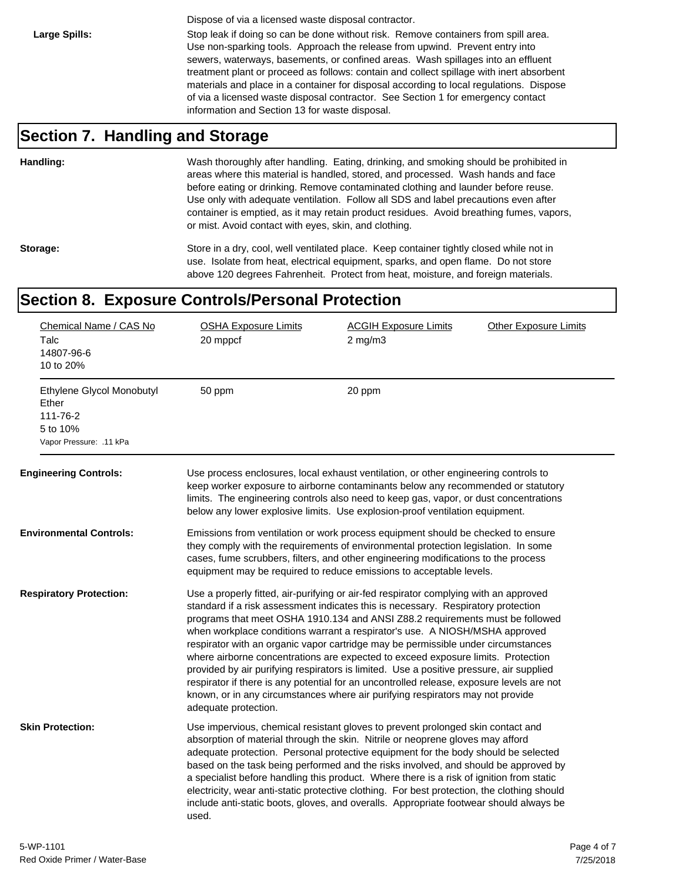Dispose of via a licensed waste disposal contractor.

Large Spills: Stop leak if doing so can be done without risk. Remove containers from spill area. Use non-sparking tools. Approach the release from upwind. Prevent entry into sewers, waterways, basements, or confined areas. Wash spillages into an effluent treatment plant or proceed as follows: contain and collect spillage with inert absorbent materials and place in a container for disposal according to local regulations. Dispose of via a licensed waste disposal contractor. See Section 1 for emergency contact information and Section 13 for waste disposal.

#### **Section 7. Handling and Storage**

**Handling:** Wash thoroughly after handling. Eating, drinking, and smoking should be prohibited in areas where this material is handled, stored, and processed. Wash hands and face before eating or drinking. Remove contaminated clothing and launder before reuse. Use only with adequate ventilation. Follow all SDS and label precautions even after container is emptied, as it may retain product residues. Avoid breathing fumes, vapors, or mist. Avoid contact with eyes, skin, and clothing.

Storage: Store in a dry, cool, well ventilated place. Keep container tightly closed while not in use. Isolate from heat, electrical equipment, sparks, and open flame. Do not store above 120 degrees Fahrenheit. Protect from heat, moisture, and foreign materials.

### **Section 8. Exposure Controls/Personal Protection**

| Chemical Name / CAS No<br>Talc<br>14807-96-6<br>10 to 20%                              | <b>OSHA Exposure Limits</b><br>20 mppcf                                                                                                                                                                                                                                                                                                                                                                                                                                                                                                                                                                                                                                                                                                                                                                               | <b>ACGIH Exposure Limits</b><br>$2$ mg/m $3$                                                                                                                                                                                                                                                                                                                                                                                                                                                                                                                                                                                        | <b>Other Exposure Limits</b> |
|----------------------------------------------------------------------------------------|-----------------------------------------------------------------------------------------------------------------------------------------------------------------------------------------------------------------------------------------------------------------------------------------------------------------------------------------------------------------------------------------------------------------------------------------------------------------------------------------------------------------------------------------------------------------------------------------------------------------------------------------------------------------------------------------------------------------------------------------------------------------------------------------------------------------------|-------------------------------------------------------------------------------------------------------------------------------------------------------------------------------------------------------------------------------------------------------------------------------------------------------------------------------------------------------------------------------------------------------------------------------------------------------------------------------------------------------------------------------------------------------------------------------------------------------------------------------------|------------------------------|
| Ethylene Glycol Monobutyl<br>Ether<br>111-76-2<br>5 to 10%<br>Vapor Pressure: . 11 kPa | 50 ppm                                                                                                                                                                                                                                                                                                                                                                                                                                                                                                                                                                                                                                                                                                                                                                                                                | 20 ppm                                                                                                                                                                                                                                                                                                                                                                                                                                                                                                                                                                                                                              |                              |
| <b>Engineering Controls:</b>                                                           |                                                                                                                                                                                                                                                                                                                                                                                                                                                                                                                                                                                                                                                                                                                                                                                                                       | Use process enclosures, local exhaust ventilation, or other engineering controls to<br>keep worker exposure to airborne contaminants below any recommended or statutory<br>limits. The engineering controls also need to keep gas, vapor, or dust concentrations<br>below any lower explosive limits. Use explosion-proof ventilation equipment.                                                                                                                                                                                                                                                                                    |                              |
| <b>Environmental Controls:</b>                                                         | Emissions from ventilation or work process equipment should be checked to ensure<br>they comply with the requirements of environmental protection legislation. In some<br>cases, fume scrubbers, filters, and other engineering modifications to the process<br>equipment may be required to reduce emissions to acceptable levels.                                                                                                                                                                                                                                                                                                                                                                                                                                                                                   |                                                                                                                                                                                                                                                                                                                                                                                                                                                                                                                                                                                                                                     |                              |
| <b>Respiratory Protection:</b>                                                         | Use a properly fitted, air-purifying or air-fed respirator complying with an approved<br>standard if a risk assessment indicates this is necessary. Respiratory protection<br>programs that meet OSHA 1910.134 and ANSI Z88.2 requirements must be followed<br>when workplace conditions warrant a respirator's use. A NIOSH/MSHA approved<br>respirator with an organic vapor cartridge may be permissible under circumstances<br>where airborne concentrations are expected to exceed exposure limits. Protection<br>provided by air purifying respirators is limited. Use a positive pressure, air supplied<br>respirator if there is any potential for an uncontrolled release, exposure levels are not<br>known, or in any circumstances where air purifying respirators may not provide<br>adequate protection. |                                                                                                                                                                                                                                                                                                                                                                                                                                                                                                                                                                                                                                     |                              |
| <b>Skin Protection:</b>                                                                | used.                                                                                                                                                                                                                                                                                                                                                                                                                                                                                                                                                                                                                                                                                                                                                                                                                 | Use impervious, chemical resistant gloves to prevent prolonged skin contact and<br>absorption of material through the skin. Nitrile or neoprene gloves may afford<br>adequate protection. Personal protective equipment for the body should be selected<br>based on the task being performed and the risks involved, and should be approved by<br>a specialist before handling this product. Where there is a risk of ignition from static<br>electricity, wear anti-static protective clothing. For best protection, the clothing should<br>include anti-static boots, gloves, and overalls. Appropriate footwear should always be |                              |
|                                                                                        |                                                                                                                                                                                                                                                                                                                                                                                                                                                                                                                                                                                                                                                                                                                                                                                                                       |                                                                                                                                                                                                                                                                                                                                                                                                                                                                                                                                                                                                                                     |                              |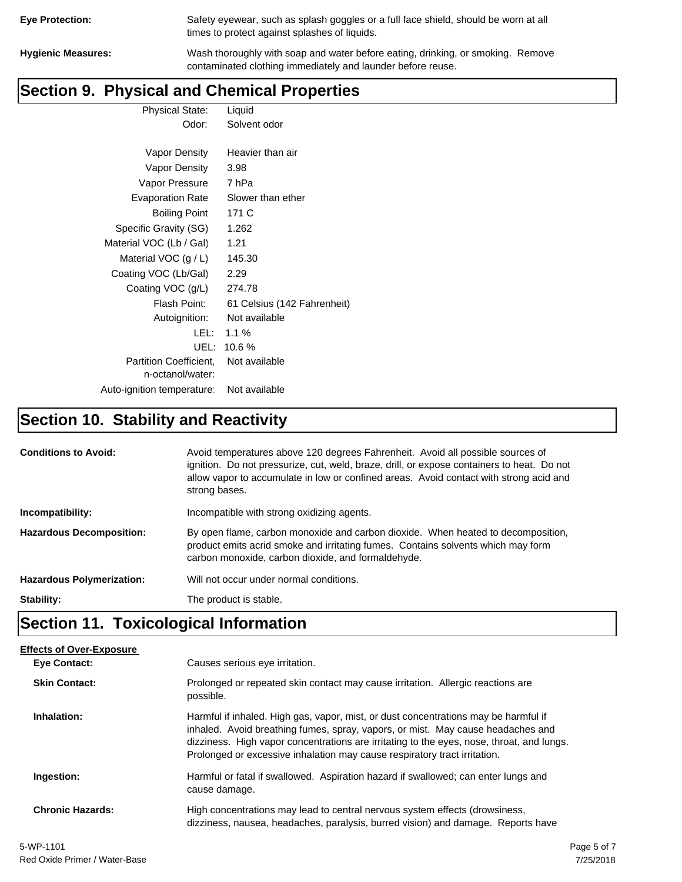| <b>Eye Protection:</b> |  |
|------------------------|--|
|                        |  |

Safety eyewear, such as splash goggles or a full face shield, should be worn at all times to protect against splashes of liquids.

**Hygienic Measures:** Wash thoroughly with soap and water before eating, drinking, or smoking. Remove contaminated clothing immediately and launder before reuse.

## **Section 9. Physical and Chemical Properties**

Physical State: Liquid Odor: Solvent odor

| Vapor Density                                     | Heavier than air            |
|---------------------------------------------------|-----------------------------|
| Vapor Density                                     | 3.98                        |
| Vapor Pressure                                    | 7 hPa                       |
| <b>Evaporation Rate</b>                           | Slower than ether           |
| <b>Boiling Point</b>                              | 171 C                       |
| Specific Gravity (SG)                             | 1.262                       |
| Material VOC (Lb / Gal)                           | 1.21                        |
| Material VOC $(g/L)$                              | 145.30                      |
| Coating VOC (Lb/Gal)                              | 2.29                        |
| Coating VOC (g/L)                                 | 274.78                      |
| Flash Point:                                      | 61 Celsius (142 Fahrenheit) |
| Autoignition:                                     | Not available               |
| LEL:                                              | $1.1\%$                     |
| UEL:                                              | 10.6%                       |
| <b>Partition Coefficient.</b><br>n-octanol/water: | Not available               |
| Auto-ignition temperature:                        | Not available               |

# **Section 10. Stability and Reactivity**

| <b>Conditions to Avoid:</b>      | Avoid temperatures above 120 degrees Fahrenheit. Avoid all possible sources of<br>ignition. Do not pressurize, cut, weld, braze, drill, or expose containers to heat. Do not<br>allow vapor to accumulate in low or confined areas. Avoid contact with strong acid and<br>strong bases. |
|----------------------------------|-----------------------------------------------------------------------------------------------------------------------------------------------------------------------------------------------------------------------------------------------------------------------------------------|
| Incompatibility:                 | Incompatible with strong oxidizing agents.                                                                                                                                                                                                                                              |
| <b>Hazardous Decomposition:</b>  | By open flame, carbon monoxide and carbon dioxide. When heated to decomposition,<br>product emits acrid smoke and irritating fumes. Contains solvents which may form<br>carbon monoxide, carbon dioxide, and formaldehyde.                                                              |
| <b>Hazardous Polymerization:</b> | Will not occur under normal conditions.                                                                                                                                                                                                                                                 |
| Stability:                       | The product is stable.                                                                                                                                                                                                                                                                  |

# **Section 11. Toxicological Information**

| <b>Effects of Over-Exposure</b> |                                                                                                                                                                                                                                                                                                                                                  |
|---------------------------------|--------------------------------------------------------------------------------------------------------------------------------------------------------------------------------------------------------------------------------------------------------------------------------------------------------------------------------------------------|
| <b>Eve Contact:</b>             | Causes serious eye irritation.                                                                                                                                                                                                                                                                                                                   |
| <b>Skin Contact:</b>            | Prolonged or repeated skin contact may cause irritation. Allergic reactions are<br>possible.                                                                                                                                                                                                                                                     |
| Inhalation:                     | Harmful if inhaled. High gas, vapor, mist, or dust concentrations may be harmful if<br>inhaled. Avoid breathing fumes, spray, vapors, or mist. May cause headaches and<br>dizziness. High vapor concentrations are irritating to the eyes, nose, throat, and lungs.<br>Prolonged or excessive inhalation may cause respiratory tract irritation. |
| Ingestion:                      | Harmful or fatal if swallowed. Aspiration hazard if swallowed; can enter lungs and<br>cause damage.                                                                                                                                                                                                                                              |
| <b>Chronic Hazards:</b>         | High concentrations may lead to central nervous system effects (drowsiness,<br>dizziness, nausea, headaches, paralysis, burred vision) and damage. Reports have                                                                                                                                                                                  |
| -                               |                                                                                                                                                                                                                                                                                                                                                  |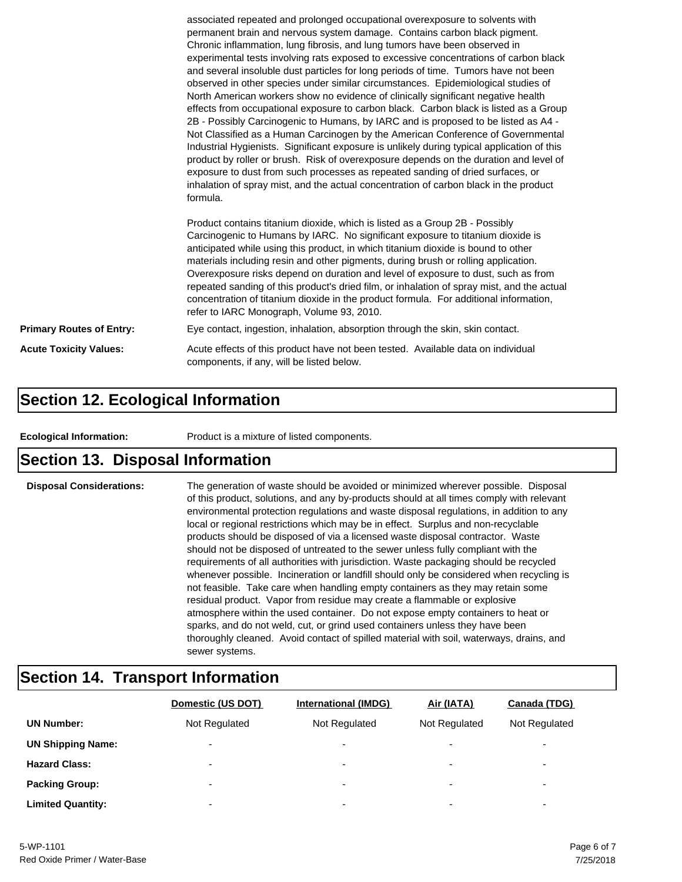|                                 | associated repeated and prolonged occupational overexposure to solvents with<br>permanent brain and nervous system damage. Contains carbon black pigment.<br>Chronic inflammation, lung fibrosis, and lung tumors have been observed in<br>experimental tests involving rats exposed to excessive concentrations of carbon black<br>and several insoluble dust particles for long periods of time. Tumors have not been<br>observed in other species under similar circumstances. Epidemiological studies of<br>North American workers show no evidence of clinically significant negative health<br>effects from occupational exposure to carbon black. Carbon black is listed as a Group<br>2B - Possibly Carcinogenic to Humans, by IARC and is proposed to be listed as A4 -<br>Not Classified as a Human Carcinogen by the American Conference of Governmental<br>Industrial Hygienists. Significant exposure is unlikely during typical application of this<br>product by roller or brush. Risk of overexposure depends on the duration and level of<br>exposure to dust from such processes as repeated sanding of dried surfaces, or<br>inhalation of spray mist, and the actual concentration of carbon black in the product<br>formula. |
|---------------------------------|---------------------------------------------------------------------------------------------------------------------------------------------------------------------------------------------------------------------------------------------------------------------------------------------------------------------------------------------------------------------------------------------------------------------------------------------------------------------------------------------------------------------------------------------------------------------------------------------------------------------------------------------------------------------------------------------------------------------------------------------------------------------------------------------------------------------------------------------------------------------------------------------------------------------------------------------------------------------------------------------------------------------------------------------------------------------------------------------------------------------------------------------------------------------------------------------------------------------------------------------------|
|                                 | Product contains titanium dioxide, which is listed as a Group 2B - Possibly<br>Carcinogenic to Humans by IARC. No significant exposure to titanium dioxide is<br>anticipated while using this product, in which titanium dioxide is bound to other<br>materials including resin and other pigments, during brush or rolling application.<br>Overexposure risks depend on duration and level of exposure to dust, such as from<br>repeated sanding of this product's dried film, or inhalation of spray mist, and the actual<br>concentration of titanium dioxide in the product formula. For additional information,<br>refer to IARC Monograph, Volume 93, 2010.                                                                                                                                                                                                                                                                                                                                                                                                                                                                                                                                                                                 |
| <b>Primary Routes of Entry:</b> | Eye contact, ingestion, inhalation, absorption through the skin, skin contact.                                                                                                                                                                                                                                                                                                                                                                                                                                                                                                                                                                                                                                                                                                                                                                                                                                                                                                                                                                                                                                                                                                                                                                    |
| <b>Acute Toxicity Values:</b>   | Acute effects of this product have not been tested. Available data on individual<br>components, if any, will be listed below.                                                                                                                                                                                                                                                                                                                                                                                                                                                                                                                                                                                                                                                                                                                                                                                                                                                                                                                                                                                                                                                                                                                     |

### **Section 12. Ecological Information**

**Ecological Information:** Product is a mixture of listed components.

### **Section 13. Disposal Information**

**Disposal Considerations:** The generation of waste should be avoided or minimized wherever possible. Disposal of this product, solutions, and any by-products should at all times comply with relevant environmental protection regulations and waste disposal regulations, in addition to any local or regional restrictions which may be in effect. Surplus and non-recyclable products should be disposed of via a licensed waste disposal contractor. Waste should not be disposed of untreated to the sewer unless fully compliant with the requirements of all authorities with jurisdiction. Waste packaging should be recycled whenever possible. Incineration or landfill should only be considered when recycling is not feasible. Take care when handling empty containers as they may retain some residual product. Vapor from residue may create a flammable or explosive atmosphere within the used container. Do not expose empty containers to heat or sparks, and do not weld, cut, or grind used containers unless they have been thoroughly cleaned. Avoid contact of spilled material with soil, waterways, drains, and sewer systems.

## **Section 14. Transport Information**

|                          | Domestic (US DOT)        | <b>International (IMDG)</b> | Air (IATA)               | <b>Canada (TDG)</b>      |
|--------------------------|--------------------------|-----------------------------|--------------------------|--------------------------|
| <b>UN Number:</b>        | Not Regulated            | Not Regulated               | Not Regulated            | Not Regulated            |
| <b>UN Shipping Name:</b> | $\overline{\phantom{0}}$ | $\overline{\phantom{0}}$    | $\overline{\phantom{0}}$ | ۰                        |
| <b>Hazard Class:</b>     | $\overline{\phantom{0}}$ | $\overline{\phantom{0}}$    | $\overline{\phantom{0}}$ | $\overline{\phantom{0}}$ |
| <b>Packing Group:</b>    | $\overline{\phantom{0}}$ | $\overline{\phantom{0}}$    | $\overline{\phantom{a}}$ | ۰                        |
| <b>Limited Quantity:</b> | $\overline{\phantom{0}}$ | $\overline{\phantom{a}}$    | $\overline{\phantom{0}}$ | ۰                        |